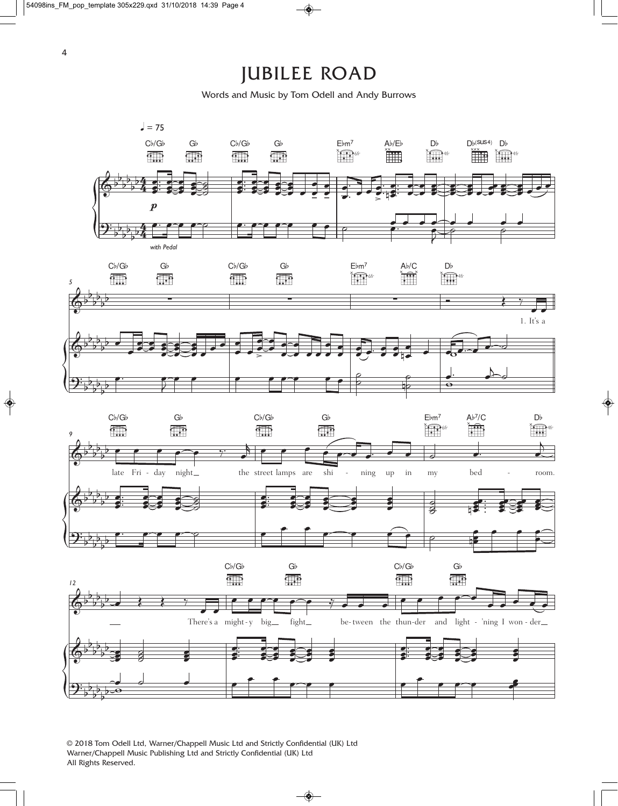## JUBILEE ROAD

Words and Music by Tom Odell and Andy Burrows



© 2018 Tom Odell Ltd, Warner/Chappell Music Ltd and Strictly Confidential (UK) Ltd Warner/Chappell Music Publishing Ltd and Strictly Confidential (UK) Ltd All Rights Reserved.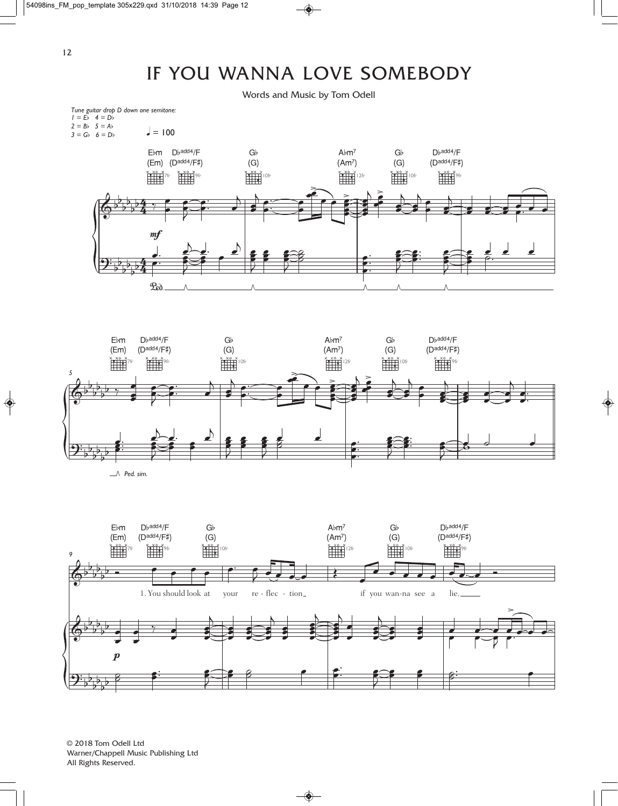## IF YOU WANNA LOVE SOMEBODY

Words and Music by Tom Odell





*Ped. sim.*



© 2018 Tom Odell Ltd Warner/Chappell Music Publishing Ltd All Rights Reserved.